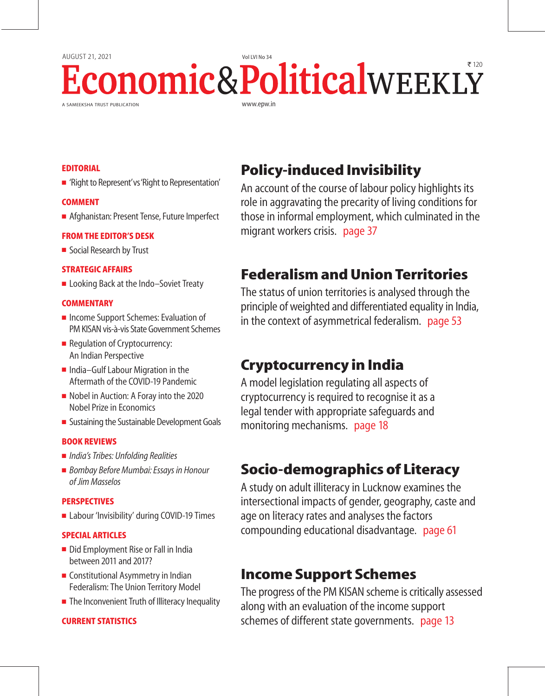# A SAMEEKSHA TRUST PUBLICATION www.epw.in AUGUST 21, 2021 Vol LVI No 34 **conomic&Political**WEEKLY

# **EDITORIAL**

'Right to Represent' vs 'Right to Representation'

## **COMMENT**

**Afghanistan: Present Tense, Future Imperfect** 

## **FROM THE EDITOR'S DESK**

■ Social Research by Trust

## **STRATEGIC AFFAIRS**

■ Looking Back at the Indo–Soviet Treaty

## **COMMENTARY**

- **Income Support Schemes: Evaluation of** PM KISAN vis-à-vis State Government Schemes
- **Regulation of Cryptocurrency:** An Indian Perspective
- $\blacksquare$  India–Gulf Labour Migration in the Aftermath of the COVID-19 Pandemic
- Nobel in Auction: A Foray into the 2020 Nobel Prize in Economics
- **Sustaining the Sustainable Development Goals**

## **BOOK REVIEWS**

- *India's Tribes: Unfolding Realities*
- *Bombay Before Mumbai: Essays in Honour of Jim Masselos*

## **PERSPECTIVES**

**Labour 'Invisibility' during COVID-19 Times** 

## **SPECIAL ARTICLES**

- Did Employment Rise or Fall in India between 2011 and 2017?
- Constitutional Asymmetry in Indian Federalism: The Union Territory Model
- The Inconvenient Truth of Illiteracy Inequality

# **CURRENT STATISTICS**

# **Policy-induced Invisibility**

An account of the course of labour policy highlights its role in aggravating the precarity of living conditions for those in informal employment, which culminated in the migrant workers crisis. page 37

# **Federalism and Union Territories**

The status of union territories is analysed through the principle of weighted and differentiated equality in India, in the context of asymmetrical federalism. page 53

# **Cryptocurrency in India**

A model legislation regulating all aspects of cryptocurrency is required to recognise it as a legal tender with appropriate safeguards and monitoring mechanisms. page 18

# **Socio-demographics of Literacy**

A study on adult illiteracy in Lucknow examines the intersectional impacts of gender, geography, caste and age on literacy rates and analyses the factors compounding educational disadvantage. page 61

# **Income Support Schemes**

The progress of the PM KISAN scheme is critically assessed along with an evaluation of the income support schemes of different state governments. page 13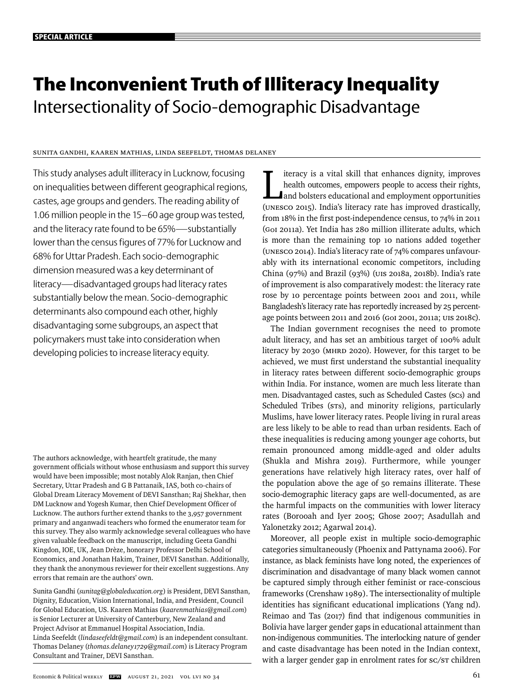# **The Inconvenient Truth of Illiteracy Inequality**  Intersectionality of Socio-demographic Disadvantage

## Sunita Gandhi, Kaaren Mathias, Linda Seefeldt, Thomas Delaney

This study analyses adult illiteracy in Lucknow, focusing on inequalities between different geographical regions, castes, age groups and genders. The reading ability of 1.06 million people in the 15–60 age group was tested, and the literacy rate found to be 65%—substantially lower than the census figures of 77% for Lucknow and 68% for Uttar Pradesh. Each socio-demographic dimension measured was a key determinant of literacy—disadvantaged groups had literacy rates substantially below the mean. Socio-demographic determinants also compound each other, highly disadvantaging some subgroups, an aspect that policymakers must take into consideration when developing policies to increase literacy equity.

The authors acknowledge, with heartfelt gratitude, the many government officials without whose enthusiasm and support this survey would have been impossible; most notably Alok Ranjan, then Chief Secretary, Uttar Pradesh and G B Pattanaik, IAS, both co-chairs of Global Dream Literacy Movement of DEVI Sansthan; Raj Shekhar, then DM Lucknow and Yogesh Kumar, then Chief Development Officer of Lucknow. The authors further extend thanks to the 3,957 government primary and anganwadi teachers who formed the enumerator team for this survey. They also warmly acknowledge several colleagues who have given valuable feedback on the manuscript, including Geeta Gandhi Kingdon, IOE, UK, Jean Drèze, honorary Professor Delhi School of Economics, and Jonathan Hakim, Trainer, DEVI Sansthan. Additionally, they thank the anonymous reviewer for their excellent suggestions. Any errors that remain are the authors' own.

Sunita Gandhi (*sunitag@globaleducation.org*) is President, DEVI Sansthan, Dignity, Education, Vision International, India, and President, Council for Global Education, US. Kaaren Mathias (*kaarenmathias@gmail.com*) is Senior Lecturer at University of Canterbury, New Zealand and Project Advisor at Emmanuel Hospital Association, India. Linda Seefeldt (*lindaseefeldt@gmail.com*) is an independent consultant. Thomas Delaney (*thomas.delaney1729@gmail.com*) is Literacy Program Consultant and Trainer, DEVI Sansthan.

I iteracy is a vital skill that enhances dignity, improves<br>health outcomes, empowers people to access their rights,<br>and bolsters educational and employment opportunities<br>(UNESCO 2015). India's literacy rate has improved dr iteracy is a vital skill that enhances dignity, improves health outcomes, empowers people to access their rights, and bolsters educational and employment opportunities from  $18\%$  in the first post-independence census, to  $74\%$  in 2011 (GoI 2011a). Yet India has 280 million illiterate adults, which is more than the remaining top 10 nations added together (UNESCO 2014). India's literacy rate of 74% compares unfavourably with its international economic competitors, including China (97%) and Brazil (93%) (UIS 2018a, 2018b). India's rate of improvement is also comparatively modest: the literacy rate rose by 10 percentage points between 2001 and 2011, while Bangladesh's literacy rate has reportedly increased by 25 percentage points between 2011 and 2016 (GoI 2001, 2011a; UIS 2018c).

The Indian government recognises the need to promote adult literacy, and has set an ambitious target of 100% adult literacy by 2030 (MHRD 2020). However, for this target to be achieved, we must first understand the substantial inequality in literacy rates between different socio-demographic groups within India. For instance, women are much less literate than men. Disadvantaged castes, such as Scheduled Castes (scs) and Scheduled Tribes (STs), and minority religions, particularly Muslims, have lower literacy rates. People living in rural areas are less likely to be able to read than urban residents. Each of these inequalities is reducing among younger age cohorts, but remain pronounced among middle-aged and older adults (Shukla and Mishra 2019). Furthermore, while younger generations have relatively high literacy rates, over half of the population above the age of 50 remains illiterate. These socio-demographic literacy gaps are well-documented, as are the harmful impacts on the communities with lower literacy rates (Borooah and Iyer 2005; Ghose 2007; Asadullah and Yalonetzky 2012; Agarwal 2014).

Moreover, all people exist in multiple socio-demographic cate gories simultaneously (Phoenix and Pattynama 2006). For instance, as black feminists have long noted, the experiences of discrimination and disadvantage of many black women cannot be captured simply through either feminist or race-conscious frameworks (Crenshaw 1989). The intersectionality of multiple identities has significant educational implications (Yang nd). Reimao and Tas (2017) find that indigenous communities in Bolivia have larger gender gaps in educational attainment than non-indigenous communities. The interlocking nature of gender and caste disadvantage has been noted in the Indian context, with a larger gender gap in enrolment rates for sc/sT children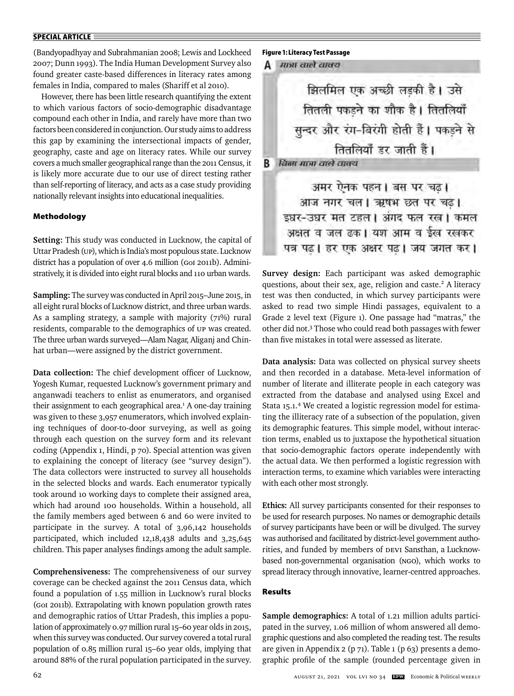(Bandyopadhyay and Subrahmanian 2008; Lewis and Lockheed 2007; Dunn 1993). The India Human Development Survey also found greater caste-based differences in literacy rates among females in India, compared to males (Shariff et al 2010).

However, there has been little research quantifying the extent to which various factors of socio-demographic disadvantage compound each other in India, and rarely have more than two factors been considered in conjunction. Our study aims to address this gap by examining the intersectional impacts of gender, geography, caste and age on literacy rates. While our survey covers a much smaller geographical range than the 2011 Census, it is likely more accurate due to our use of direct testing rather than self-reporting of literacy, and acts as a case study providing nationally relevant insights into educational inequalities.

#### **Methodology**

**Setting:** This study was conducted in Lucknow, the capital of Uttar Pradesh (UP), which is India's most populous state. Lucknow district has a population of over 4.6 million (GoI 2011b). Administratively, it is divided into eight rural blocks and 110 urban wards.

**Sampling:** The survey was conducted in April 2015–June 2015, in all eight rural blocks of Lucknow district, and three urban wards. As a sampling strategy, a sample with majority  $(71%)$  rural residents, comparable to the demographics of UP was created. The three urban wards surveyed—Alam Nagar, Aliganj and Chinhat urban—were assigned by the district government.

Data collection: The chief development officer of Lucknow, Yogesh Kumar, requested Lucknow's government primary and anganwadi teachers to enlist as enumerators, and organised their assignment to each geographical area.<sup>1</sup> A one-day training was given to these 3,957 enumerators, which involved explaining techniques of door-to-door surveying, as well as going through each question on the survey form and its relevant coding (Appendix 1, Hindi, p 70). Special attention was given to explaining the concept of literacy (see "survey design"). The data collectors were instructed to survey all households in the selected blocks and wards. Each enumerator typically took around 10 working days to complete their assigned area, which had around 100 households. Within a household, all the family members aged between 6 and 60 were invited to participate in the survey. A total of 3,96,142 households participated, which included 12,18,438 adults and 3,25,645 children. This paper analyses findings among the adult sample.

**Comprehensiveness:** The comprehensiveness of our survey coverage can be checked against the 2011 Census data, which found a population of 1.55 million in Lucknow's rural blocks (GoI 2011b). Extrapolating with known population growth rates and demographic ratios of Uttar Pradesh, this implies a population of approximately 0.97 million rural 15–60 year olds in 2015, when this survey was conducted. Our survey covered a total rural population of 0.85 million rural 15–60 year olds, implying that around 88% of the rural population participated in the survey.

### **Figure 1: Literacy Test Passage**

#### **A** मात्रा वाले वाक्य

в

झिलमिल एक अच्छी लड़की है। उसे तितली पकडने का शौक है। तितलियाँ सुन्दर और रंग-बिरंगी होती हैं। पकड़ने से तितलियाँ डर जाती हैं। विना माना वाले वाक्य अमर ऐनक पहन। बस पर चढ।

आज नगर चल । ऋषभ छत पर चढ। इधर-उधर मत टहल। अगद फल रख। कमल अक्षत व जल ढक। यश आम व ईख रखकर पत्र पढ। हर एक अक्षर पढ। जय जगत कर।

**Survey design:** Each participant was asked demographic questions, about their sex, age, religion and caste.<sup>2</sup> A literacy test was then conducted, in which survey participants were asked to read two simple Hindi passages, equivalent to a Grade 2 level text (Figure 1). One passage had "matras," the other did not.3 Those who could read both passages with fewer than five mistakes in total were assessed as literate.

**Data analysis:** Data was collected on physical survey sheets and then recorded in a database. Meta-level information of number of literate and illiterate people in each category was extracted from the database and analysed using Excel and Stata 15.1.4 We created a logistic regression model for estimating the illiteracy rate of a subsection of the population, given its demographic features. This simple model, without interaction terms, enabled us to juxtapose the hypothetical situation that socio-demographic factors operate independently with the actual data. We then performed a logistic regression with interaction terms, to examine which variables were interacting with each other most strongly.

**Ethics:** All survey participants consented for their responses to be used for research purposes. No names or demographic details of survey participants have been or will be divulged. The survey was authorised and facilitated by district-level government authorities, and funded by members of DEVI Sansthan, a Lucknowbased non-governmental organisation (NGO), which works to spread literacy through innovative, learner-centred approaches.

#### **Results**

**Sample demographics:** A total of 1.21 million adults participated in the survey, 1.06 million of whom answered all demographic questions and also completed the reading test. The results are given in Appendix 2 (p 71). Table 1 (p 63) presents a demographic profile of the sample (rounded percentage given in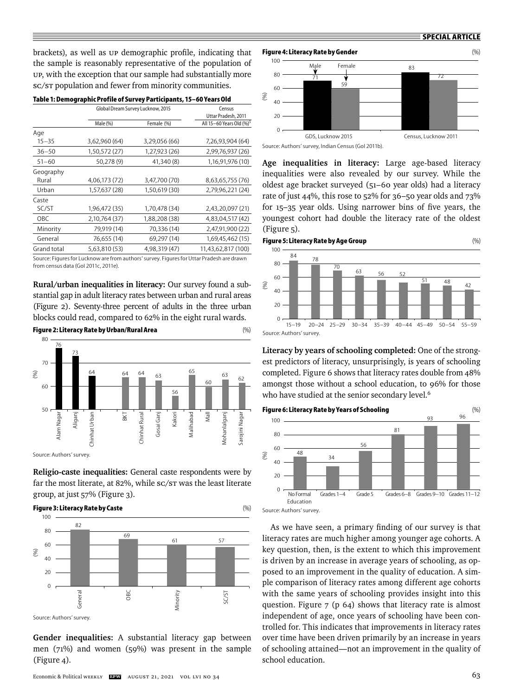brackets), as well as UP demographic profile, indicating that the sample is reasonably representative of the population of UP, with the exception that our sample had substantially more sc/sr population and fewer from minority communities.

|             | Table 1: Demographic Profile of Survey Participants, 15–60 Years Old |               |                                                                                           |
|-------------|----------------------------------------------------------------------|---------------|-------------------------------------------------------------------------------------------|
|             | Global Dream Survey Lucknow, 2015                                    | Census        |                                                                                           |
|             |                                                                      |               | Uttar Pradesh, 2011                                                                       |
|             | Male (%)                                                             | Female (%)    | All 15-60 Years Old (%) <sup>5</sup>                                                      |
| Age         |                                                                      |               |                                                                                           |
| $15 - 35$   | 3,62,960 (64)                                                        | 3,29,056 (66) | 7,26,93,904 (64)                                                                          |
| $36 - 50$   | 1,50,572 (27)                                                        | 1,27,923 (26) | 2,99,76,937 (26)                                                                          |
| $51 - 60$   | 50,278 (9)                                                           | 41,340 (8)    | 1,16,91,976 (10)                                                                          |
| Geography   |                                                                      |               |                                                                                           |
| Rural       | 4,06,173 (72)                                                        | 3,47,700 (70) | 8,63,65,755 (76)                                                                          |
| Urban       | 1,57,637 (28)                                                        | 1,50,619 (30) | 2,79,96,221 (24)                                                                          |
| Caste       |                                                                      |               |                                                                                           |
| SC/ST       | 1,96,472 (35)                                                        | 1,70,478 (34) | 2,43,20,097 (21)                                                                          |
| OBC         | 2,10,764 (37)                                                        | 1,88,208 (38) | 4,83,04,517 (42)                                                                          |
| Minority    | 79,919 (14)                                                          | 70,336 (14)   | 2,47,91,900 (22)                                                                          |
| General     | 76,655 (14)                                                          | 69,297 (14)   | 1,69,45,462 (15)                                                                          |
| Grand total | 5,63,810 (53)                                                        | 4,98,319 (47) | 11,43,62,817 (100)                                                                        |
|             |                                                                      |               | Source: Figures for Lucknow are from authors' survey. Figures for Uttar Pradesh are drawn |

from census data (GoI 2011c, 2011e).

**Rural/urban inequalities in literacy:** Our survey found a substantial gap in adult literacy rates between urban and rural areas (Figure 2). Seventy-three percent of adults in the three urban blocks could read, compared to 62% in the eight rural wards.

#### **Figure 2: Literacy Rate by Urban/Rural Area** (%)



**Religio-caste inequalities:** General caste respondents were by far the most literate, at 82%, while SC/ST was the least literate group, at just 57% (Figure 3).



**Gender inequalities:** A substantial literacy gap between men (71%) and women (59%) was present in the sample (Figure 4).



**Age inequalities in literacy:** Large age-based literacy inequalities were also revealed by our survey. While the oldest age bracket surveyed (51–60 year olds) had a literacy rate of just 44%, this rose to 52% for 36–50 year olds and 73% for 15-35 year olds. Using narrower bins of five years, the youngest cohort had double the literacy rate of the oldest (Figure 5).

#### **Figure 5: Literacy Rate by Age Group** (%)



**Literacy by years of schooling completed:** One of the strongest predictors of literacy, unsurprisingly, is years of schooling completed. Figure 6 shows that literacy rates double from 48% amongst those without a school education, to 96% for those who have studied at the senior secondary level.<sup>6</sup>



As we have seen, a primary finding of our survey is that literacy rates are much higher among younger age cohorts. A key question, then, is the extent to which this improvement is driven by an increase in average years of schooling, as opposed to an improvement in the quality of education. A simple comparison of literacy rates among different age cohorts with the same years of schooling provides insight into this question. Figure 7 (p 64) shows that literacy rate is almost independent of age, once years of schooling have been controlled for. This indicates that improvements in literacy rates over time have been driven primarily by an increase in years of schooling attained—not an improvement in the quality of school education.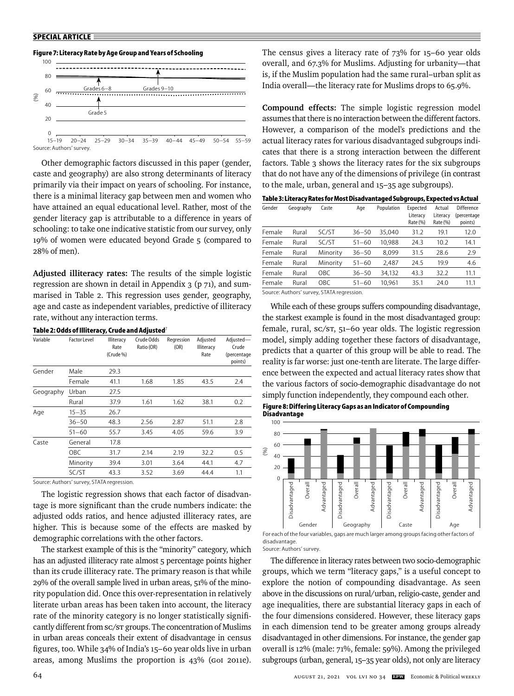#### **Figure 7: Literacy Rate by Age Group and Years of Schooling**



Other demographic factors discussed in this paper (gender, caste and geography) are also strong determinants of literacy primarily via their impact on years of schooling. For instance, there is a minimal literacy gap between men and women who have attained an equal educational level. Rather, most of the gender literacy gap is attributable to a difference in years of schooling: to take one indicative statistic from our survey, only 19% of women were educated beyond Grade 5 (compared to 28% of men).

**Adjusted illiteracy rates:** The results of the simple logistic regression are shown in detail in Appendix  $3$  (p  $71$ ), and summarised in Table 2. This regression uses gender, geography, age and caste as independent variables, predictive of illiteracy rate, without any interaction terms.

Variable Factor Level Illiteracy Crude Odds Regression Adjusted Adjusted— Rate Ratio (OR) (OR) Illiteracy Crude (Crude %) and the contract of the contract of the contract of the contract of the contract of the contract of the contract of the contract of the contract of the contract of the contract of the contract of the contract of points) and the contract of the contract of the contract of the contract of the contract of the contract of the Gender Male 29.3 Female 41.1 1.68 1.85 43.5 2.4 Geography Urban 27.5 Rural 37.9 1.61 1.62 38.1 0.2 Age 15–35 26.7 36–50 48.3 2.56 2.87 51.1 2.8 51–60 55.7 3.45 4.05 59.6 3.9 Caste General 17.8 OBC 31.7 2.14 2.19 32.2 0.5 Minority 39.4 3.01 3.64 44.1 4.7 SC/ST 43.3 3.52 3.69 44.4 1.1

**Table 2: Odds of Illiteracy, Crude and Adjusted**<sup>7</sup>

Source: Authors' survey, STATA regression.

The logistic regression shows that each factor of disadvantage is more significant than the crude numbers indicate: the adjusted odds ratios, and hence adjusted illiteracy rates, are higher. This is because some of the effects are masked by demographic correlations with the other factors.

The starkest example of this is the "minority" category, which has an adjusted illiteracy rate almost 5 percentage points higher than its crude illiteracy rate. The primary reason is that while 29% of the overall sample lived in urban areas, 51% of the minority population did. Once this over-representation in relatively literate urban areas has been taken into account, the literacy rate of the minority category is no longer statistically significantly different from SC/ST groups. The concentration of Muslims in urban areas conceals their extent of disadvantage in census figures, too. While 34% of India's 15-60 year olds live in urban areas, among Muslims the proportion is 43% (GoI 2011e). The census gives a literacy rate of 73% for 15–60 year olds overall, and 67.3% for Muslims. Adjusting for urbanity—that is, if the Muslim population had the same rural–urban split as India overall—the literacy rate for Muslims drops to 65.9%.

**Compound effects:** The simple logistic regression model assumes that there is no interaction between the different factors. However, a comparison of the model's predictions and the actual literacy rates for various disadvantaged subgroups indicates that there is a strong interaction between the different factors. Table 3 shows the literacy rates for the six subgroups that do not have any of the dimensions of privilege (in contrast to the male, urban, general and 15–35 age subgroups).

**Table 3: Literacy Rates for Most Disadvantaged Subgroups, Expected vs Actual**

| Gender | Geography | Caste                                                                                           | Age       | Population | Expected<br>Literacy<br>Rate (%) | Actual<br>Literacy<br>Rate (%) | Difference<br>(percentage<br>points) |
|--------|-----------|-------------------------------------------------------------------------------------------------|-----------|------------|----------------------------------|--------------------------------|--------------------------------------|
| Female | Rural     | SC/ST                                                                                           | $36 - 50$ | 35.040     | 31.2                             | 19.1                           | 12.0                                 |
| Female | Rural     | SC/ST                                                                                           | $51 - 60$ | 10.988     | 24.3                             | 10.2                           | 14.1                                 |
| Female | Rural     | Minority                                                                                        | $36 - 50$ | 8.099      | 31.5                             | 28.6                           | 2.9                                  |
| Female | Rural     | Minority                                                                                        | $51 - 60$ | 2.487      | 24.5                             | 19.9                           | 4.6                                  |
| Female | Rural     | OBC                                                                                             | $36 - 50$ | 34.132     | 43.3                             | 32.2                           | 11.1                                 |
| Female | Rural     | OBC                                                                                             | $51 - 60$ | 10,961     | 35.1                             | 24.0                           | 11.1                                 |
|        |           | $C_{\text{a}}$ , $\mu$ as $\Lambda$ , the sum of structure $CTAT\Lambda$ resonance in $\Lambda$ |           |            |                                  |                                |                                      |

Source: Authors' survey, STATA regression.

While each of these groups suffers compounding disadvantage, the starkest example is found in the most disadvantaged group: female, rural, sc/sr, 51-60 year olds. The logistic regression model, simply adding together these factors of disadvantage, predicts that a quarter of this group will be able to read. The reality is far worse: just one-tenth are literate. The large difference between the expected and actual literacy rates show that the various factors of socio-demographic disadvantage do not simply function independently, they compound each other.

**Figure 8: Differing Literacy Gaps as an Indicator of Compounding Disadvantage**



Source: Authors' survey.

The difference in literacy rates between two socio-demographic groups, which we term "literacy gaps," is a useful concept to explore the notion of compounding disadvantage. As seen above in the discussions on rural/urban, religio-caste, gender and age inequalities, there are substantial literacy gaps in each of the four dimensions considered. However, these literacy gaps in each dimension tend to be greater among groups already disadvantaged in other dimensions. For instance, the gender gap overall is 12% (male: 71%, female: 59%). Among the privileged subgroups (urban, general, 15–35 year olds), not only are literacy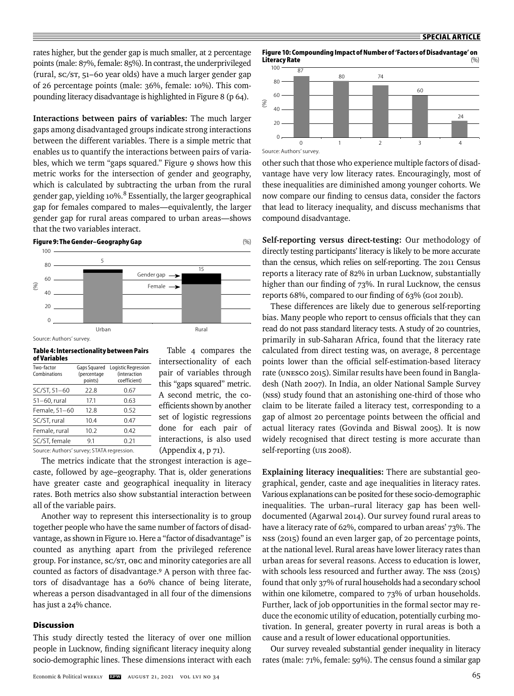rates higher, but the gender gap is much smaller, at 2 percentage points (male: 87%, female: 85%). In contrast, the underprivileged (rural, SC/ST, 51–60 year olds) have a much larger gender gap of 26 percentage points (male: 36%, female: 10%). This compounding literacy disadvantage is highlighted in Figure 8 (p 64).

**Interactions between pairs of variables:** The much larger gaps among disadvantaged groups indicate strong interactions between the different variables. There is a simple metric that enables us to quantify the interactions between pairs of variables, which we term "gaps squared." Figure 9 shows how this metric works for the intersection of gender and geography, which is calculated by subtracting the urban from the rural gender gap, yielding  $10\%$ .<sup>8</sup> Essentially, the larger geographical gap for females compared to males—equivalently, the larger gender gap for rural areas compared to urban areas—shows that the two variables interact.



Source: Authors' survey.

**Table 4: Intersectionality between Pairs of Variables**

| Two-factor<br>Combinations                 | Gaps Squared<br>(percentage<br>points) | Logistic Regression<br><i>(interaction)</i><br>coefficient) |
|--------------------------------------------|----------------------------------------|-------------------------------------------------------------|
| SC/ST, 51-60                               | 22.8                                   | 0.67                                                        |
| 51-60, rural                               | 17.1                                   | 0.63                                                        |
| Female, 51-60                              | 12.8                                   | 0.52                                                        |
| SC/ST, rural                               | 10.4                                   | 0.47                                                        |
| Female, rural                              | 10.2                                   | 0.42                                                        |
| SC/ST, female                              | 9.1                                    | 0.21                                                        |
| Source: Authors' survey: STATA rearession. |                                        |                                                             |

Table 4 compares the intersectionality of each pair of variables through this "gaps squared" metric. A second metric, the coefficients shown by another set of logistic regressions done for each pair of interactions, is also used (Appendix 4, p 71).

The metrics indicate that the strongest interaction is age– caste, followed by age–geography. That is, older generations have greater caste and geographical inequality in literacy rates. Both metrics also show substantial interaction between all of the variable pairs.

Another way to represent this intersectionality is to group together people who have the same number of factors of disadvantage, as shown in Figure 10. Here a "factor of disadvantage" is counted as anything apart from the privileged reference group. For instance, SC/ST, OBC and minority categories are all counted as factors of disadvantage.9 A person with three factors of disadvantage has a 60% chance of being literate, whereas a person disadvantaged in all four of the dimensions has just a 24% chance.

### **Discussion**

This study directly tested the literacy of over one million people in Lucknow, finding significant literacy inequity along socio-demographic lines. These dimensions interact with each

**Figure 10: Compounding Impact of Number of 'Factors of Disadvantage' on Literacy Rate** 



other such that those who experience multiple factors of disadvantage have very low literacy rates. Encouragingly, most of these inequalities are diminished among younger cohorts. We now compare our finding to census data, consider the factors that lead to literacy inequality, and discuss mechanisms that compound disadvantage.

**Self-reporting versus direct-testing:** Our methodology of directly testing participants' literacy is likely to be more accurate than the census, which relies on self-reporting. The 2011 Census reports a literacy rate of 82% in urban Lucknow, substantially higher than our finding of 73%. In rural Lucknow, the census reports 68%, compared to our finding of 63% (GoI 2011b).

These differences are likely due to generous self-reporting bias. Many people who report to census officials that they can read do not pass standard literacy tests. A study of 20 countries, primarily in sub-Saharan Africa, found that the literacy rate calculated from direct testing was, on average, 8 percentage points lower than the official self-estimation-based literacy rate (UNESCO 2015). Similar results have been found in Bangladesh (Nath 2007). In India, an older National Sample Survey (NSS) study found that an astonishing one-third of those who claim to be literate failed a literacy test, corresponding to a gap of almost 20 percentage points between the official and actual literacy rates (Govinda and Biswal 2005). It is now widely recognised that direct testing is more accurate than self-reporting (UIS 2008).

**Explaining literacy inequalities:** There are substantial geographical, gender, caste and age inequalities in literacy rates. Various explanations can be posited for these socio-demographic inequalities. The urban–rural literacy gap has been welldocumented (Agarwal 2014). Our survey found rural areas to have a literacy rate of 62%, compared to urban areas' 73%. The NSS (2015) found an even larger gap, of 20 percentage points, at the national level. Rural areas have lower literacy rates than urban areas for several reasons. Access to education is lower, with schools less resourced and further away. The NSS (2015) found that only 37% of rural households had a secondary school within one kilometre, compared to 73% of urban households. Further, lack of job opportunities in the formal sector may reduce the economic utility of education, potentially curbing motivation. In general, greater poverty in rural areas is both a cause and a result of lower educational opportunities.

Our survey revealed substantial gender inequality in literacy rates (male: 71%, female: 59%). The census found a similar gap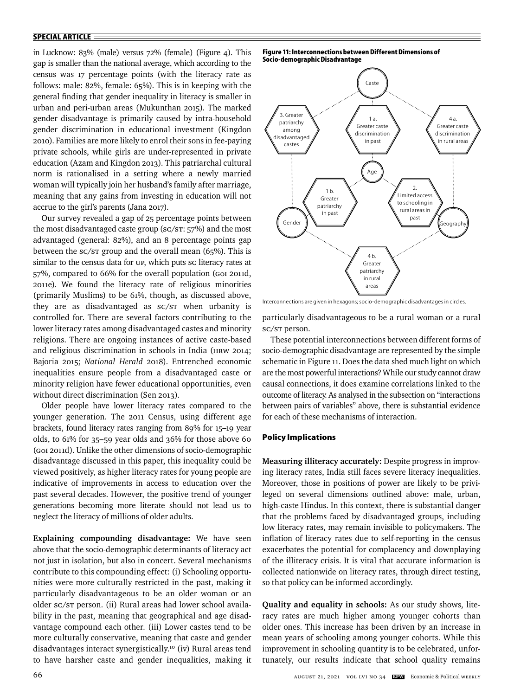in Lucknow: 83% (male) versus 72% (female) (Figure 4). This gap is smaller than the national average, which according to the census was 17 percentage points (with the literacy rate as follows: male: 82%, female: 65%). This is in keeping with the general finding that gender inequality in literacy is smaller in urban and peri-urban areas (Mukunthan 2015). The marked gender disadvantage is primarily caused by intra-household gender discrimination in educational investment (Kingdon 2010). Families are more likely to enrol their sons in fee-paying private schools, while girls are under-represented in private education (Azam and Kingdon 2013). This patriarchal cultural norm is rationalised in a setting where a newly married woman will typically join her husband's family after marriage, meaning that any gains from investing in education will not accrue to the girl's parents (Jana 2017).

Our survey revealed a gap of 25 percentage points between the most disadvantaged caste group (SC/ST: 57%) and the most advantaged (general: 82%), and an 8 percentage points gap between the sc/sr group and the overall mean (65%). This is similar to the census data for UP, which puts sc literacy rates at 57%, compared to 66% for the overall population (GoI 2011d, 2011e). We found the literacy rate of religious minorities (primarily Muslims) to be 61%, though, as discussed above, they are as disadvantaged as SC/ST when urbanity is controlled for. There are several factors contributing to the lower literacy rates among disadvantaged castes and minority religions. There are ongoing instances of active caste-based and religious discrimination in schools in India (HRW 2014; Bajoria 2015; *National Herald* 2018). Entrenched economic inequalities ensure people from a disadvantaged caste or minority religion have fewer educational opportunities, even without direct discrimination (Sen 2013).

Older people have lower literacy rates compared to the younger generation. The 2011 Census, using different age brackets, found literacy rates ranging from 89% for 15-19 year olds, to 61% for 35–59 year olds and 36% for those above 60 (GoI 2011d). Unlike the other dimensions of socio-demographic disadvantage discussed in this paper, this inequality could be viewed positively, as higher literacy rates for young people are indicative of improvements in access to education over the past several decades. However, the positive trend of younger generations becoming more literate should not lead us to neglect the literacy of millions of older adults.

**Explaining compounding disadvantage:** We have seen above that the socio-demographic determinants of literacy act not just in isolation, but also in concert. Several mechanisms contribute to this compounding effect: (i) Schooling opportunities were more culturally restricted in the past, making it particularly disadvantageous to be an older woman or an older sc/st person. (ii) Rural areas had lower school availability in the past, meaning that geographical and age disadvantage compound each other. (iii) Lower castes tend to be more culturally conservative, meaning that caste and gender disadvantages interact synergistically.10 (iv) Rural areas tend to have harsher caste and gender inequalities, making it

**Figure 11: Interconnections between Different Dimensions of Socio-demographic Disadvantage**



Interconnections are given in hexagons; socio-demographic disadvantages in circles.

particularly disadvantageous to be a rural woman or a rural SC/ST person.

These potential interconnections between different forms of socio-demographic disadvantage are represented by the simple schematic in Figure 11. Does the data shed much light on which are the most powerful interactions? While our study cannot draw causal connections, it does examine correlations linked to the outcome of literacy. As analysed in the subsection on "interactions between pairs of variables" above, there is substantial evidence for each of these mechanisms of interaction.

## **Policy Implications**

**Measuring illiteracy accurately:** Despite progress in improving literacy rates, India still faces severe literacy inequalities. Moreover, those in positions of power are likely to be privileged on several dimensions outlined above: male, urban, high-caste Hindus. In this context, there is substantial danger that the problems faced by disadvantaged groups, including low literacy rates, may remain invisible to policymakers. The inflation of literacy rates due to self-reporting in the census exacerbates the potential for complacency and downplaying of the illiteracy crisis. It is vital that accurate information is collected nationwide on literacy rates, through direct testing, so that policy can be informed accordingly.

**Quality and equality in schools:** As our study shows, literacy rates are much higher among younger cohorts than older ones. This increase has been driven by an increase in mean years of schooling among younger cohorts. While this improvement in schooling quantity is to be celebrated, unfortunately, our results indicate that school quality remains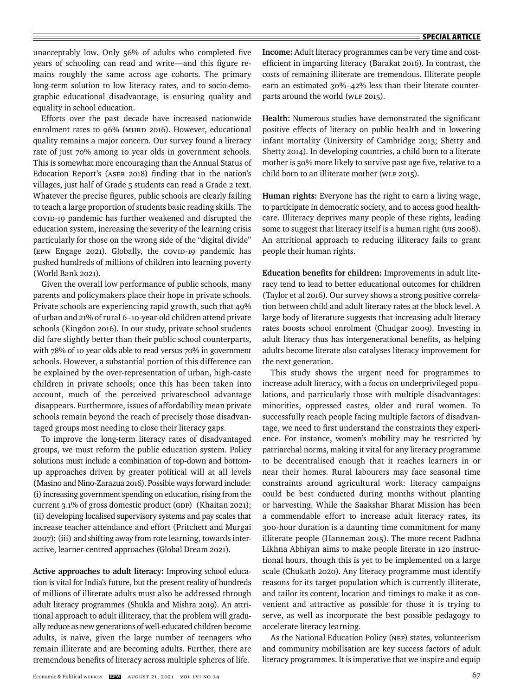unacceptably low. Only 56% of adults who completed five years of schooling can read and write—and this figure remains roughly the same across age cohorts. The primary long-term solution to low literacy rates, and to socio-demographic educational disadvantage, is ensuring quality and equality in school education.

Efforts over the past decade have increased nationwide enrolment rates to 96% (MHRD 2016). However, educational quality remains a major concern. Our survey found a literacy rate of just 70% among 10 year olds in government schools. This is somewhat more encouraging than the Annual Status of Education Report's (ASER 2018) finding that in the nation's villages, just half of Grade 5 students can read a Grade 2 text. Whatever the precise figures, public schools are clearly failing to teach a large proportion of students basic reading skills. The COVID-19 pandemic has further weakened and disrupted the education system, increasing the severity of the learning crisis particularly for those on the wrong side of the "digital divide" (EPW Engage 2021). Globally, the COVID-19 pandemic has pushed hundreds of millions of children into learning poverty (World Bank 2021).

Given the overall low performance of public schools, many parents and policymakers place their hope in private schools. Private schools are experiencing rapid growth, such that 49% of urban and 21% of rural 6–10-year-old children attend private schools (Kingdon 2016). In our study, private school students did fare slightly better than their public school counterparts, with 78% of 10 year olds able to read versus 70% in government schools. However, a substantial portion of this difference can be explained by the over-representation of urban, high-caste children in private schools; once this has been taken into account, much of the perceived privateschool advantage disappears. Furthermore, issues of affordability mean private schools remain beyond the reach of precisely those disadvantaged groups most needing to close their literacy gaps.

To improve the long-term literacy rates of disadvantaged groups, we must reform the public education system. Policy solutions must include a combination of top-down and bottomup approaches driven by greater political will at all levels (Masino and Nino-Zarazua 2016). Possible ways forward include: (i) increasing government spending on education, rising from the current 3.1% of gross domestic product (GDP) (Khaitan 2021); (ii) developing localised supervisory systems and pay scales that increase teacher attendance and effort (Pritchett and Murgai 2007); (iii) and shifting away from rote learning, towards interactive, learner-centred approaches (Global Dream 2021).

**Active approaches to adult literacy:** Improving school education is vital for India's future, but the present reality of hundreds of millions of illiterate adults must also be addressed through adult literacy programmes (Shukla and Mishra 2019). An attritional approach to adult illiteracy, that the problem will gradually reduce as new generations of well-educated children become adults, is naïve, given the large number of teenagers who remain illiterate and are becoming adults. Further, there are tremendous benefits of literacy across multiple spheres of life.

**Income:** Adult literacy programmes can be very time and costefficient in imparting literacy (Barakat 2016). In contrast, the costs of remaining illiterate are tremendous. Illiterate people earn an estimated 30%–42% less than their literate counterparts around the world (WLF 2015).

Health: Numerous studies have demonstrated the significant positive effects of literacy on public health and in lowering infant mortality (University of Cambridge 2013; Shetty and Shetty 2014). In developing countries, a child born to a literate mother is 50% more likely to survive past age five, relative to a child born to an illiterate mother (WLF 2015).

**Human rights:** Everyone has the right to earn a living wage, to participate in democratic society, and to access good healthcare. Illiteracy deprives many people of these rights, leading some to suggest that literacy itself is a human right (UIS 2008). An attritional approach to reducing illiteracy fails to grant people their human rights.

**Education benefits for children:** Improvements in adult literacy tend to lead to better educational outcomes for children (Taylor et al 2016). Our survey shows a strong positive correlation between child and adult literacy rates at the block level. A large body of literature suggests that increasing adult literacy rates boosts school enrolment (Chudgar 2009). Investing in adult literacy thus has intergenerational benefits, as helping adults become literate also catalyses literacy improvement for the next generation.

This study shows the urgent need for programmes to increase adult literacy, with a focus on underprivileged populations, and particularly those with multiple disadvantages: minorities, oppressed castes, older and rural women. To successfully reach people facing multiple factors of disadvantage, we need to first understand the constraints they experience. For instance, women's mobility may be restricted by patriarchal norms, making it vital for any literacy programme to be decentralised enough that it reaches learners in or near their homes. Rural labourers may face seasonal time constraints around agricultural work: literacy campaigns could be best conducted during months without planting or harvesting. While the Saakshar Bharat Mission has been a commendable effort to increase adult literacy rates, its 300-hour duration is a daunting time commitment for many illiterate people (Hanneman 2015). The more recent Padhna Likhna Abhiyan aims to make people literate in 120 instructional hours, though this is yet to be implemented on a large scale (Chukath 2020). Any literacy programme must identify reasons for its target population which is currently illiterate, and tailor its content, location and timings to make it as convenient and attractive as possible for those it is trying to serve, as well as incorporate the best possible pedagogy to accelerate literacy learning.

As the National Education Policy (NEP) states, volunteerism and community mobilisation are key success factors of adult literacy programmes. It is imperative that we inspire and equip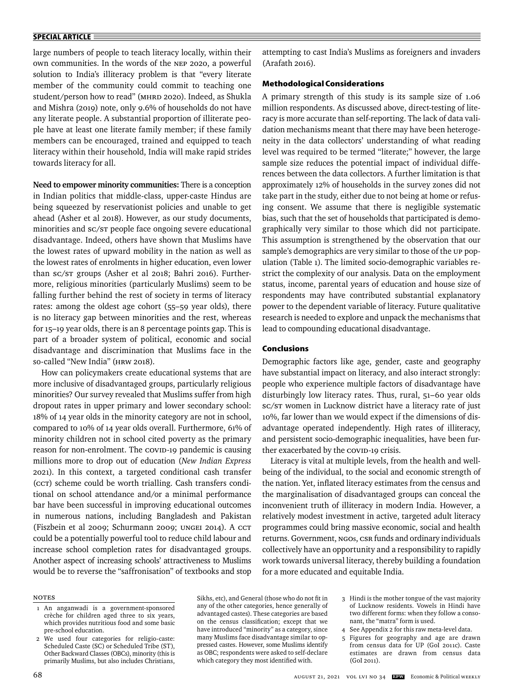large numbers of people to teach literacy locally, within their own communities. In the words of the NEP 2020, a powerful solution to India's illiteracy problem is that "every literate member of the community could commit to teaching one student/person how to read" (MHRD 2020). Indeed, as Shukla and Mishra (2019) note, only 9.6% of households do not have any literate people. A substantial proportion of illiterate people have at least one literate family member; if these family members can be encouraged, trained and equipped to teach literacy within their household, India will make rapid strides towards literacy for all.

**Need to empower minority communities:** There is a conception in Indian politics that middle-class, upper-caste Hindus are being squeezed by reservationist policies and unable to get ahead (Asher et al 2018). However, as our study documents, minorities and SC/ST people face ongoing severe educational disadvantage. Indeed, others have shown that Muslims have the lowest rates of upward mobility in the nation as well as the lowest rates of enrolments in higher education, even lower than SC/ST groups (Asher et al 2018; Bahri 2016). Furthermore, religious minorities (particularly Muslims) seem to be falling further behind the rest of society in terms of literacy rates: among the oldest age cohort (55–59 year olds), there is no literacy gap between minorities and the rest, whereas for 15–19 year olds, there is an 8 percentage points gap. This is part of a broader system of political, economic and social disadvantage and discrimination that Muslims face in the so-called "New India" (HRW 2018).

How can policymakers create educational systems that are more inclusive of disadvantaged groups, particularly religious minorities? Our survey revealed that Muslims suffer from high dropout rates in upper primary and lower secondary school: 18% of 14 year olds in the minority category are not in school, compared to 10% of 14 year olds overall. Furthermore, 61% of minority children not in school cited poverty as the primary reason for non-enrolment. The COVID-19 pandemic is causing millions more to drop out of education (*New Indian Express* 2021). In this context, a targeted conditional cash transfer (CCT) scheme could be worth trialling. Cash transfers conditional on school attendance and/or a minimal performance bar have been successful in improving educational outcomes in numerous nations, including Bangladesh and Pakistan (Fiszbein et al 2009; Schurmann 2009; UNGEI 2014). A CCT could be a potentially powerful tool to reduce child labour and increase school completion rates for disadvantaged groups. Another aspect of increasing schools' attractiveness to Muslims would be to reverse the "saffronisation" of textbooks and stop

attempting to cast India's Muslims as foreigners and invaders (Arafath 2016).

### **Methodological Considerations**

A primary strength of this study is its sample size of 1.06 million respondents. As discussed above, direct-testing of literacy is more accurate than self-reporting. The lack of data validation mechanisms meant that there may have been heterogeneity in the data collectors' understanding of what reading level was required to be termed "literate;" however, the large sample size reduces the potential impact of individual differences between the data collectors. A further limitation is that approximately 12% of households in the survey zones did not take part in the study, either due to not being at home or refusing consent. We assume that there is negligible systematic bias, such that the set of households that participated is demographically very similar to those which did not participate. This assumption is strengthened by the observation that our sample's demographics are very similar to those of the UP population (Table 1). The limited socio-demographic variables restrict the complexity of our analysis. Data on the employment status, income, parental years of education and house size of respondents may have contributed substantial explanatory power to the dependent variable of literacy. Future qualitative research is needed to explore and unpack the mechanisms that lead to compounding educational disadvantage.

### **Conclusions**

Demographic factors like age, gender, caste and geography have substantial impact on literacy, and also interact strongly: people who experience multiple factors of disadvantage have disturbingly low literacy rates. Thus, rural, 51–60 year olds SC/ST women in Lucknow district have a literacy rate of just 10%, far lower than we would expect if the dimensions of disadvantage operated independently. High rates of illiteracy, and persistent socio-demographic inequalities, have been further exacerbated by the COVID-19 crisis.

Literacy is vital at multiple levels, from the health and wellbeing of the individual, to the social and economic strength of the nation. Yet, inflated literacy estimates from the census and the marginalisation of disadvantaged groups can conceal the inconvenient truth of illiteracy in modern India. However, a relatively modest investment in active, targeted adult literacy programmes could bring massive economic, social and health returns. Government, NGOs, CSR funds and ordinary individuals collectively have an opportunity and a responsibility to rapidly work towards universal literacy, thereby building a foundation for a more educated and equitable India.

#### **NOTES**

Sikhs, etc), and General (those who do not fit in any of the other categories, hence generally of advantaged castes). These categories are based on the census classification; except that we have introduced "minority" as a category, since many Muslims face disadvantage similar to oppressed castes. However, some Muslims identify as OBC; respondents were asked to self-declare which category they most identified with.

- 3 Hindi is the mother tongue of the vast majority of Lucknow residents. Vowels in Hindi have two different forms: when they follow a consonant, the "matra" form is used.
- 4 See Appendix 2 for this raw meta-level data.
- 5 Figures for geography and age are drawn from census data for UP (GoI 2011c). Caste estimates are drawn from census data (GoI 2011).

 <sup>1</sup> An anganwadi is a government-sponsored crèche for children aged three to six years, which provides nutritious food and some basic pre-school education.

 <sup>2</sup> We used four categories for religio-caste: Scheduled Caste (SC) or Scheduled Tribe (ST), Other Backward Classes (OBCs), minority (this is primarily Muslims, but also includes Christians,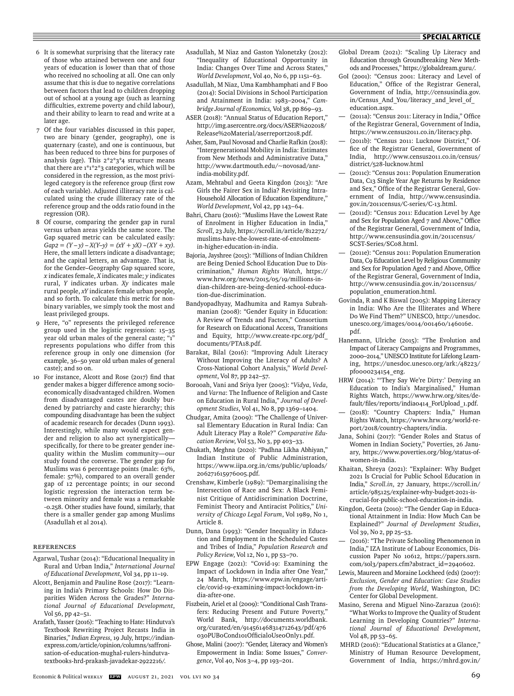- 6 It is somewhat surprising that the literacy rate of those who attained between one and four years of education is lower than that of those who received no schooling at all. One can only assume that this is due to negative correlations between factors that lead to children dropping out of school at a young age (such as learning difficulties, extreme poverty and child labour), and their ability to learn to read and write at a later age.
- Of the four variables discussed in this paper, two are binary (gender, geography), one is quaternary (caste), and one is continuous, but has been reduced to three bins for purposes of analysis (age). This 2\*2\*3\*4 structure means that there are 1\*1\*2\*3 categories, which will be considered in the regression, as the most privileged category is the reference group (first row of each variable). Adjusted illiteracy rate is calculated using the crude illiteracy rate of the reference group and the odds ratio found in the regression (OR).
- 8 Of course, comparing the gender gap in rural versus urban areas yields the same score. The Gap squared metric can be calculated easily:  $Gap2 = (Y - y) - X(Y - y) = (xY + yX) - (XY + xy).$ Here, the small letters indicate a disadvantage; and the capital letters, an advantage. That is, for the Gender–Geography Gap squared score, *x* indicates female, *X* indicates male; *y* indicates rural, *Y* indicates urban. *Xy* indicates male rural people, *xY* indicates female urban people, and so forth. To calculate this metric for nonbinary variables, we simply took the most and least privileged groups.
- 9 Here, "0" represents the privileged reference group used in the logistic regression: 15–35 year old urban males of the general caste; ' represents populations who differ from this reference group in only one dimension (for example, 36–50 year old urban males of general caste); and so on.
- 10 For instance, Alcott and Rose (2017) find that gender makes a bigger difference among socioeconomically disadvantaged children. Women from disadvantaged castes are doubly burdened by patriarchy and caste hierarchy; this compounding disadvantage has been the subject of academic research for decades (Dunn 1993). Interestingly, while many would expect gender and religion to also act synergistically specifically, for there to be greater gender inequality within the Muslim community—our study found the converse. The gender gap for Muslims was 6 percentage points (male: 63%, female: 57%), compared to an overall gender gap of 12 percentage points; in our second logistic regression the interaction term between minority and female was a remarkable -0.258. Other studies have found, similarly, that there is a smaller gender gap among Muslims (Asadullah et al 2014).

#### **REFERENCES**

- Agarwal, Tushar (2014): "Educational Inequality in Rural and Urban India," *International Journal of Educational Development*, Vol 34, pp 11–19.
- Alcott, Benjamin and Pauline Rose (2017): "Learning in India's Primary Schools: How Do Disparities Widen Across the Grades?" *International Journal of Educational Development*, Vol 56, pp 42–51.
- Arafath, Yasser (2016): "Teaching to Hate: Hindutva's Textbook Rewriting Project Recasts India in Binaries," *Indian Express*, 19 July, https://indianexpress.com/article/opinion/columns/saffronisation-of-education-mughal-rulers-hindutvatextbooks-hrd-prakash-javadekar-2922216/.
- Asadullah, M Niaz and Gaston Yalonetzky (2012): "Inequality of Educational Opportunity in India: Changes Over Time and Across States," *World Development*, Vol 40, No 6, pp 1151–63.
- Asadullah, M Niaz, Uma Kambhamphati and F Boo (2014): Social Divisions in School Participation and Attainment in India: 1983–2004," *Cambridge Journal of Economics,* Vol 38, pp 869–93.
- ASER (2018): "Annual Status of Education Report," http://img.asercentre.org/docs/ASER%202018/ Release%20Material/aserreport2018.pdf.
- Asher, Sam, Paul Novosad and Charlie Rafkin (2018): "Intergenerational Mobility in India: Estimates from New Methods and Administrative Data,' http://www.dartmouth.edu/~novosad/anrindia-mobility.pdf.
- Azam, Mehtabul and Geeta Kingdon (2013): "Are Girls the Fairer Sex in India? Revisiting Intra-Household Allocation of Education Expenditure," *World Development*, Vol 42, pp 143–64.
- Bahri, Charu (2016): "Muslims Have the Lowest Rate of Enrolment in Higher Education in India," *Scroll*, 23 July, https://scroll.in/article/812272/ muslims-have-the-lowest-rate-of-enrolmentin-higher-education-in-india.
- Bajoria, Jayshree (2015): "Millions of Indian Children are Being Denied School Education Due to Discrimination," *Human Rights Watch*, https:// www.hrw.org/news/2015/05/19/millions-indian-children-are-being-denied-school-education-due-discrimination.
- Bandyopadhyay, Madhumita and Ramya Subrahmanian (2008): "Gender Equity in Education: A Review of Trends and Factors," Consortium for Research on Educational Access, Transitions and Equity, http://www.create-rpc.org/pdf\_ documents/PTA18.pdf.
- Barakat, Bilal (2016): "Improving Adult Literacy Without Improving the Literacy of Adults? A Cross-National Cohort Analysis," *World Development*, Vol 87, pp 242–57.
- Borooah, Vani and Sriya Iyer (2005): "*Vidya*, *Veda*, and *Varna*: The Influence of Religion and Caste on Education in Rural India," *Journal of Development Studies*, Vol 41, No 8, pp 1369–1404.
- Chudgar, Amita (2009): "The Challenge of Universal Elementary Education in Rural India: Can Adult Literacy Play a Role?" *Comparative Education Review*, Vol 53, No 3, pp 403-33.
- Chukath, Meghna (2020): "Padhna Likha Abhiyan," Indian Institute of Public Administration, https://www.iipa.org.in/cms/public/uploads/ 206271615976005.pdf.
- Crenshaw, Kimberle (1989): "Demarginalising the Intersection of Race and Sex: A Black Feminist Critique of Antidiscrimination Doctrine, Feminist Theory and Antiracist Politics," *University of Chicago Legal Forum*, Vol 1989, No 1, Article 8.
- Dunn, Dana (1993): "Gender Inequality in Education and Employment in the Scheduled Castes and Tribes of India," *Population Research and Policy Review*, Vol 12, No 1, pp 53–70.
- EPW Engage (2021): "Covid-19: Examining the Impact of Lockdown in India after One Year," 24 March, https://www.epw.in/engage/article/covid-19-examining-impact-lockdown-india-after-one.
- Fiszbein, Ariel et al (2009): "Conditional Cash Transfers: Reducing Present and Future Poverty*,*" World Bank, http://documents.worldbank. org/curated/en/914561468314712643/pdf/476 030PUB0Cond101Official0Use0Only1.pdf.
- Ghose, Malini (2007): "Gender, Literacy and Women's Empowerment in India: Some Issues," *Convergence*, Vol 40, Nos 3–4, pp 193–201.
- Global Dream (2021): "Scaling Up Literacy and Education through Groundbreaking New Methods and Processes," https://globaldream.guru/.
- GoI (2001): "Census 2001: Literacy and Level of Education," Office of the Registrar General, Government of India, http://censusindia.gov. in/Census\_And\_You/literacy\_and\_level\_of\_ education.aspx.
- (2011a): "Census 2011: Literacy in India," Office of the Registrar General, Government of India, https://www.census2011.co.in/literacy.php.
- (2011b): "Census 2011: Lucknow District," Office of the Registrar General, Government of India, http://www.census2011.co.in/census/ district/528-lucknow.html
- (2011c): "Census 2011: Population Enumeration Data, C13 Single Year Age Returns by Residence and Sex," Office of the Registrar General, Government of India, http://www.censusindia. gov.in/2011census/C-series/C-13.html.
- (2011d): "Census 2011: Education Level by Age and Sex for Population Aged 7 and Above," Office of the Registrar General, Government of India, http://www.censusindia.gov.in/2011census/ SCST-Series/SC08.html.
- (2011e): "Census 2011: Population Enumeration Data, C9 Education Level by Religious Community and Sex for Population Aged 7 and Above, Office of the Registrar General, Government of India, http://www.censusindia.gov.in/2011census/ population\_enumeration.html.
- Govinda, R and K Biswal (2005): Mapping Literacy in India: Who Are the Illiterates and Where Do We Find Them?" UNESCO, http://unesdoc. unesco.org/images/0014/001460/146016e. pdf.
- Hanemann, Ulriche (2015): "The Evolution and Impact of Literacy Campaigns and Programmes, 2000–2014," UNESCO Institute for Lifelong Learning, https://unesdoc.unesco.org/ark:/48223/ pf0000234154\_eng.
- HRW (2014): "'They Say We're Dirty:' Denying an Education to India's Marginalised," Human Rights Watch, https://www.hrw.org/sites/default/files/reports/india0414\_ForUpload\_1.pdf.
- (2018): "Country Chapters: India," Human Rights Watch, https://www.hrw.org/world-report/2018/country-chapters/india.
- Jana, Sohini (2017): "Gender Roles and Status of Women in Indian Society," Poverties, 26 January, https://www.poverties.org/blog/status-ofwomen-in-india.
- Khaitan, Shreya (2021): "Explainer: Why Budget 2021 Is Crucial for Public School Education in India," *Scroll.in*, 27 January, https://scroll.in/ article/985125/explainer-why-budget-2021-iscrucial-for-public-school-education-in-india.
- Kingdon, Geeta (2010): "The Gender Gap in Educational Attainment in India: How Much Can be Explained?" *Journal of Development Studies*, Vol 39, No 2, pp 25–53.
- (2016): "The Private Schooling Phenomenon in India," IZA Institute of Labour Economics, Discussion Paper No 10612, https://papers.ssrn. com/sol3/papers.cfm?abstract\_id=2940602.
- Lewis, Maureen and Moraine Lockheed (eds) (2007): *Exclusion, Gender and Education: Case Studies from the Developing World*, Washington, DC: Center for Global Development.
- Masino, Serena and Miguel Nino-Zarazua (2016): "What Works to Improve the Quality of Student Learning in Developing Countries?" *International Journal of Educational Development*, Vol 48, pp 53–65.
- MHRD (2016): "Educational Statistics at a Glance," Ministry of Human Resource Development, Government of India, https://mhrd.gov.in/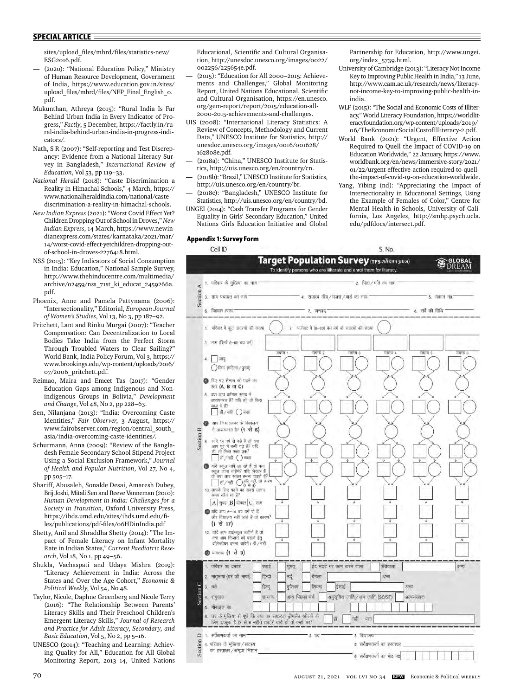sites/upload\_fi les/mhrd/fi les/statistics-new/ ESG2016.pdf.

- (2020): "National Education Policy," Ministry of Human Resource Development, Government of India, https://www.education.gov.in/sites/ upload\_files/mhrd/files/NEP\_Final\_English\_o. pdf.
- Mukunthan, Athreya (2015): "Rural India Is Far Behind Urban India in Every Indicator of Progress," *Factly*, 5 December, https://factly.in/rural-india-behind-urban-india-in-progress-indicators/.
- Nath, S R (2007): "Self-reporting and Test Discrepancy: Evidence from a National Literacy Survey in Bangladesh," *International Review of Education*, Vol 53, pp 119–33.
- *National Herald* (2018): "Caste Discrimination a Reality in Himachal Schools," 4 March, https:// www.nationalheraldindia.com/national/castediscrimination-a-reality-in-himachal-schools.
- *New Indian Express* (2021): "Worst Covid Effect Yet? Children Dropping Out of School in Droves," *New Indian Express*, 14 March, https://www.newindianexpress.com/states/karnataka/2021/mar/ 14/worst-covid-effect-yetchildren-dropping-outof-school-in-droves-2276418.html.
- NSS (2015): "Key Indicators of Social Consumption in India: Education," National Sample Survey, http://www.thehinducentre.com/multimedia/ archive/02459/nss\_71st\_ki\_educat\_2459266a. pdf.
- Phoenix, Anne and Pamela Pattynama (2006): "Intersectionality," Editorial, *European Journal of Women's Studies*, Vol 13, No 3, pp 187–92.
- Pritchett, Lant and Rinku Murgai (2007): "Teacher Compensation: Can Decentralization to Local Bodies Take India from the Perfect Storm Through Troubled Waters to Clear Sailing?" World Bank, India Policy Forum, Vol 3, https:// www.brookings.edu/wp-content/uploads/2016/ 07/2006\_pritchett.pdf.
- Reimao, Maira and Emcet Tas (2017): "Gender Education Gaps among Indigenous and Nonindigenous Groups in Bolivia," *Development and Change*, Vol 48, No 2, pp 228–63.
- Sen, Nilanjana (2013): "India: Overcoming Caste Identities," *Fair Observer*, 3 August, https:// www.fairobserver.com/region/central\_south\_ asia/india-overcoming-caste-identities/.
- Schurmann, Anna (2009): "Review of the Bangladesh Female Secondary School Stipend Project Using a Social Exclusion Framework," *Journal of Health and Popular Nutrition*, Vol 27, No 4, pp 505–17.
- Shariff, Abusaleh, Sonalde Desai, Amaresh Dubey, Brij Joshi, Mitali Sen and Reeve Vanneman (2010): *Human Development in India: Challenges for a Society in Transition*, Oxford University Press, https://ihds.umd.edu/sites/ihds.umd.edu/files/publications/pdf-files/06HDinIndia.pdf
- Shetty, Anil and Shraddha Shetty (2014): "The Impact of Female Literacy on Infant Mortality Rate in Indian States," *Current Paediatric Research*, Vol 18, No 1, pp 49–56.
- Shukla, Vachaspati and Udaya Mishra (2019): "Literacy Achievement in India: Across the States and Over the Age Cohort," *Economic & Political Weekly*, Vol 54, No 48.
- Taylor, Nicole, Daphne Greenberg and Nicole Terry (2016): "The Relationship Between Parents' Literacy Skills and Their Preschool Children's Emergent Literacy Skills," *Journal of Research and Practice for Adult Literacy*, *Secondary, and Basic Education*, Vol 5, No 2, pp 5–16.
- UNESCO (2014): "Teaching and Learning: Achieving Quality for All," Education for All Global Monitoring Report, 2013–14, United Nations

Educational, Scientific and Cultural Organisation, http://unesdoc.unesco.org/images/0022/ 002256/225654e.pdf.

- (2015): "Education for All 2000–2015: Achievements and Challenges," Global Monitoring Report, United Nations Educational, Scientific and Cultural Organisation, https://en.unesco. org/gem-report/report/2015/education-all-2000-2015-achievements-and-challenges.
- UIS (2008): "International Literacy Statistics: A Review of Concepts, Methodology and Current Data," UNESCO Institute for Statistics, http:// unesdoc.unesco.org/images/0016/001628/ 162808e.pdf.
- (2018a): "China," UNESCO Institute for Statistics, http://uis.unesco.org/en/country/cn.
- (2018b): "Brazil," UNESCO Institute for Statistics, http://uis.unesco.org/en/country/br.
- (2018c): "Bangladesh," UNESCO Institute for Statistics, http://uis.unesco.org/en/country/bd.
- UNGEI (2014): "Cash Transfer Programs for Gender Equality in Girls' Secondary Education," United Nations Girls Education Initiative and Global

#### **Appendix 1: Survey Form**

Partnership for Education, http://www.ungei. org/index\_5739.html.

- University of Cambridge (2013): "Literacy Not Income Key to Improving Public Health in India," 13 June, http://www.cam.ac.uk/research/news/literacynot-income-key-to-improving-public-health-inindia.
- WLF (2015): "The Social and Economic Costs of Illiteracy," World Literacy Foundation, https://worldliteracyfoundation.org/wp-content/uploads/2019/ 06/TheEconomicSocialCostofIlliteracy-2.pdf.
- World Bank (2021): "Urgent, Effective Action Required to Quell the Impact of COVID-19 on Education Worldwide," 22 January, https://www. worldbank.org/en/news/immersive-story/2021/ 01/22/urgent-effective-action-required-to-quellthe-impact-of-covid-19-on-education-worldwide.
- Yang, Yibing (nd): "Appreciating the Impact of Intersectionality in Educational Settings, Using the Example of Females of Color," Centre for Mental Health in Schools, University of California, Los Angeles, http://smhp.psych.ucla. edu/pdfdocs/intersect.pdf.

| Cell ID                                                                                                                                                                                                        |                                                                                                                  | S. No.                        |  |  |  |  |  |  |
|----------------------------------------------------------------------------------------------------------------------------------------------------------------------------------------------------------------|------------------------------------------------------------------------------------------------------------------|-------------------------------|--|--|--|--|--|--|
|                                                                                                                                                                                                                | Target Population Survey (TPS arison yuan)<br>To identify persons who are illiterate and enrol them for literacy | ORAI<br>е                     |  |  |  |  |  |  |
| 1. परिवार के मुखिया का नाम                                                                                                                                                                                     | 2. पिता / पति का नाम                                                                                             |                               |  |  |  |  |  |  |
|                                                                                                                                                                                                                |                                                                                                                  |                               |  |  |  |  |  |  |
| Section A<br>3. ग्राम पंचायत का नाम                                                                                                                                                                            | 4. राजस्व गाँव / मजरा / वार्ड का नाम                                                                             | 5. मकान न0                    |  |  |  |  |  |  |
| 6. विकास खण्ड                                                                                                                                                                                                  | 7. जनप्रद                                                                                                        | 8. सर्वे की तिथि              |  |  |  |  |  |  |
| 1. परिवार में कुल सदस्यों की संख्या                                                                                                                                                                            | 2. परिवार में (6-60) वय वर्ग के सदस्यों की संख्या                                                                |                               |  |  |  |  |  |  |
| नाम (सिर्फ 6-60 वय वर्ग)<br>з.                                                                                                                                                                                 |                                                                                                                  |                               |  |  |  |  |  |  |
| आयु<br>$4-$<br>() लिंग (महिला / पुरुष)                                                                                                                                                                         | सदस्य १<br>सदस्य 2<br>सदस्य 3                                                                                    | सदस्य 4<br>सदस्य 5<br>सदस्य 6 |  |  |  |  |  |  |
| <b>ि दिए गए सैम्पल को पढने का</b><br>स्तर (A, B या C)                                                                                                                                                          |                                                                                                                  |                               |  |  |  |  |  |  |
| 6 क्या आप वर्तमान समय में<br>अध्ययनरत हैं? यदि हों, तो किस<br>कक्षा में है?<br>हाँ / नहीं () कक्षा                                                                                                             |                                                                                                                  |                               |  |  |  |  |  |  |
| आप किस प्रकार के विद्यालय<br>0<br>में अध्ययनरत है? (1 से 6)                                                                                                                                                    |                                                                                                                  |                               |  |  |  |  |  |  |
| Section B<br>यदि 14 वर्ष से बड़े हैं तो क्या<br>8<br>आप पूर्व में कभी पढ़े हैं? यदि<br>हीं, तो किस कक्षा तक?<br>हों / नहीं () कक्षा                                                                            | ÷.                                                                                                               |                               |  |  |  |  |  |  |
| ● यदि स्कूल नहीं जा रहें हैं तो क्या<br>स्कल जाना बाहेंगे? यदि निरक्षर हैं<br>तो क्या आप साक्षर बनना चाहते हैं?<br>डॉ / नहीं $\bigcirc$ यदि नहीं, तो कारण<br>10. आपके लिए पढने का सबसे उत्तम<br>समय कौन सा है? |                                                                                                                  |                               |  |  |  |  |  |  |
| $A$ सुबह $B$ दोपहर $C$ शाम<br>1 यदि आप 6-14 बय बर्ग के हैं<br>और विद्यालय नहीं जाते हैं तो कारण?<br>$(1 \t{R} 17)$                                                                                             | ↓<br>¥<br>¥<br>∓<br>÷                                                                                            | ¥.<br>⇓<br>š                  |  |  |  |  |  |  |
| 12. यदि आप हाईस्कूल जत्तीर्ण है तो<br>क्या आप निरक्षरों को पद्धाने हेतु<br>वॉलेन्टीयर बनना चाहेगें। हीं/नहीं                                                                                                   | ↧<br>v                                                                                                           | ī,<br>÷                       |  |  |  |  |  |  |
| <b>B</b> व्यवसाय (1 से 9)                                                                                                                                                                                      |                                                                                                                  |                               |  |  |  |  |  |  |
| 1. परिवार का प्रकार<br>स्थाई                                                                                                                                                                                   | घुमंत्<br>ईट मटटे पर काम करने वाला                                                                               | फेरीवाला<br>अन्य              |  |  |  |  |  |  |
| 2. मातृभाषा (घर की भाषा)<br>हिन्दी                                                                                                                                                                             | बँगला<br>उर्दू                                                                                                   | अन्स                          |  |  |  |  |  |  |
| 3. 印中<br>हिन्दू                                                                                                                                                                                                | मुश्लिम<br>सितख<br>इंसाइ                                                                                         | अन्य                          |  |  |  |  |  |  |
| Section<br>सामान्य<br>4. समुदाय                                                                                                                                                                                | अन्य पिछड़ा बर्ग<br>अनुसूचित जाति / जन जाति (SC/ST)                                                              | अल्पसंख्यक                    |  |  |  |  |  |  |
| 5. मोबाइल नं0<br>6. घर के मुखिया से पूछे कि क्या वह साक्षरता ड्रीमलैब खोलने क                                                                                                                                  |                                                                                                                  |                               |  |  |  |  |  |  |
| लिए इच्छूक है (3 से 6 महीने तक)? यदि हाँ तो कहाँ पर?                                                                                                                                                           | हाँ<br>नहीं<br>पता                                                                                               |                               |  |  |  |  |  |  |
| $\Omega$ ा. सर्वेक्षणकर्ता का नाम                                                                                                                                                                              | 3. विद्यालय<br>2.97                                                                                              |                               |  |  |  |  |  |  |
| Section<br>4. परिवार के मुखिया / सदस्य                                                                                                                                                                         | 5. सर्वेक्षणकर्ता का हस्ताक्षर                                                                                   |                               |  |  |  |  |  |  |
| का हस्ताक्षर/अंगुठा निशान                                                                                                                                                                                      |                                                                                                                  | 6. सर्वेक्षणकर्ता का मोo नंo  |  |  |  |  |  |  |